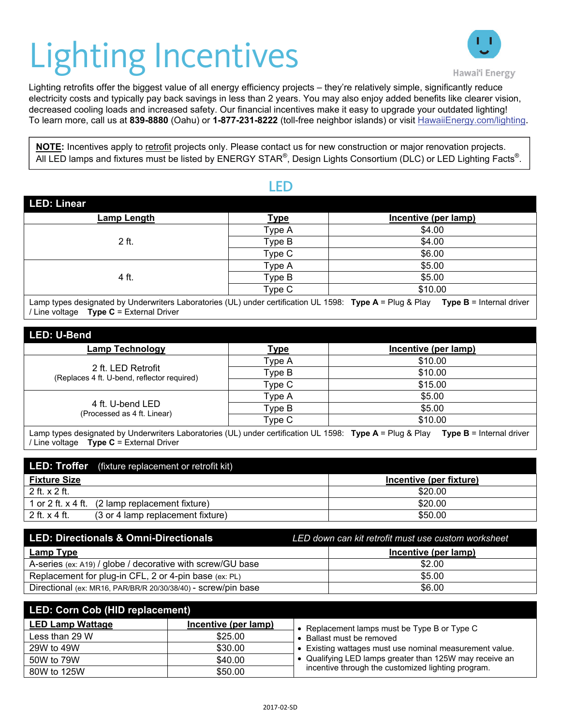

Lighting retrofits offer the biggest value of all energy efficiency projection<br>Experiency costs and typically pay back savings in less than 2 years. Lighting retrofits offer the biggest value of all energy efficiency projects – they're relatively simple, significantly reduce electricity costs and typically pay back savings in less than 2 years. You may also enjoy added benefits like clearer vision, decreased cooling loads and increased safety. Our financial incentives make it easy to upgrade your outdated lighting! To learn more, call us at **839-8880** (Oahu) or **1-877-231-8222** (toll-free neighbor islands) or visit HawaiiEnergy.com/lighting.

**NOTE:** Incentives apply to retrofit projects only. Please contact us for new construction or major renovation projects. All LED lamps and fixtures must be listed by ENERGY STAR®, Design Lights Consortium (DLC) or LED Lighting Facts®.

## LED

| <b>LED: Linear</b> |             |                      |
|--------------------|-------------|----------------------|
| <b>Lamp Length</b> | <b>Type</b> | Incentive (per lamp) |
| 2 ft.              | Type A      | \$4.00               |
|                    | Type B      | \$4.00               |
|                    | Type C      | \$6.00               |
| 4 ft.              | Type A      | \$5.00               |
|                    | Type B      | \$5.00               |
|                    | Type C      | \$10.00              |
|                    |             | $ -$<br>- - - -<br>. |

Lamp types designated by Underwriters Laboratories (UL) under certification UL 1598: **Type A** = Plug & Play **Type B** = Internal driver / Line voltage **Type C** = External Driver

| LED: U-Bend                                                       |             |                      |  |
|-------------------------------------------------------------------|-------------|----------------------|--|
| <b>Lamp Technology</b>                                            | <u>Type</u> | Incentive (per lamp) |  |
| 2 ft. LED Retrofit<br>(Replaces 4 ft. U-bend, reflector required) | Type A      | \$10.00              |  |
|                                                                   | Type B      | \$10.00              |  |
|                                                                   | Type C      | \$15.00              |  |
| 4 ft. U-bend LED<br>(Processed as 4 ft. Linear)                   | Type A      | \$5.00               |  |
|                                                                   | Type B      | \$5.00               |  |
|                                                                   | Type C      | \$10.00              |  |

Lamp types designated by Underwriters Laboratories (UL) under certification UL 1598: **Type A** = Plug & Play **Type B** = Internal driver / Line voltage **Type C** = External Driver

|                        | <b>LED: Troffer</b> (fixture replacement or retrofit kit) |                         |
|------------------------|-----------------------------------------------------------|-------------------------|
| <b>Fixture Size</b>    |                                                           | Incentive (per fixture) |
| $2$ ft. $\times$ 2 ft. |                                                           | \$20.00                 |
|                        | 1 or 2 ft. $x$ 4 ft. (2 lamp replacement fixture)         | \$20.00                 |
| 2 ft. $\times$ 4 ft.   | (3 or 4 lamp replacement fixture)                         | \$50.00                 |

| LED: Directionals & Omni-Directionals                         | LED down can kit retrofit must use custom worksheet |
|---------------------------------------------------------------|-----------------------------------------------------|
| <b>Lamp Type</b>                                              | Incentive (per lamp)                                |
| A-series (ex: A19) / globe / decorative with screw/GU base    | \$2.00                                              |
| Replacement for plug-in CFL, 2 or 4-pin base (ex: PL)         | \$5.00                                              |
| Directional (ex: MR16, PAR/BR/R 20/30/38/40) - screw/pin base | \$6.00                                              |

| LED: Corn Cob (HID replacement) |                      |                                                         |  |
|---------------------------------|----------------------|---------------------------------------------------------|--|
| <b>LED Lamp Wattage</b>         | Incentive (per lamp) | Replacement lamps must be Type B or Type C              |  |
| Less than 29 W                  | \$25.00              | • Ballast must be removed                               |  |
| 29W to 49W                      | \$30.00              | • Existing wattages must use nominal measurement value. |  |
| 50W to 79W                      | \$40.00              | • Qualifying LED lamps greater than 125W may receive an |  |
| 80W to 125W                     | \$50.00              | incentive through the customized lighting program.      |  |